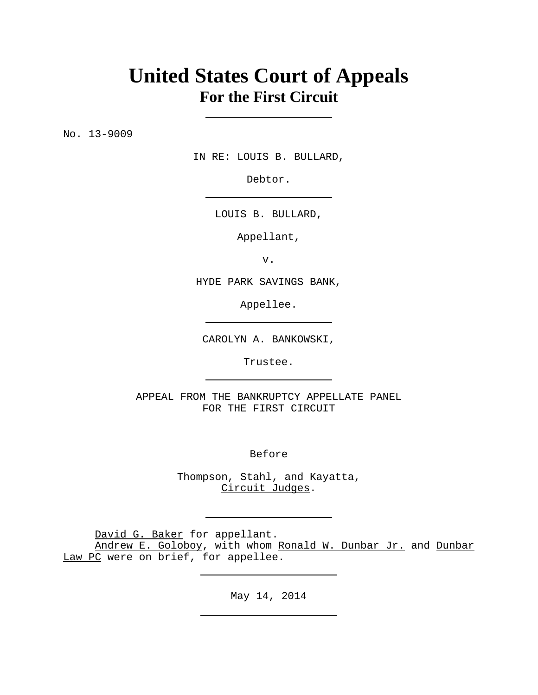## **United States Court of Appeals For the First Circuit**

No. 13-9009

IN RE: LOUIS B. BULLARD,

Debtor.

LOUIS B. BULLARD,

Appellant,

v.

HYDE PARK SAVINGS BANK,

Appellee.

CAROLYN A. BANKOWSKI,

Trustee.

APPEAL FROM THE BANKRUPTCY APPELLATE PANEL FOR THE FIRST CIRCUIT

Before

Thompson, Stahl, and Kayatta, Circuit Judges.

David G. Baker for appellant.

Andrew E. Goloboy, with whom Ronald W. Dunbar Jr. and Dunbar Law PC were on brief, for appellee.

May 14, 2014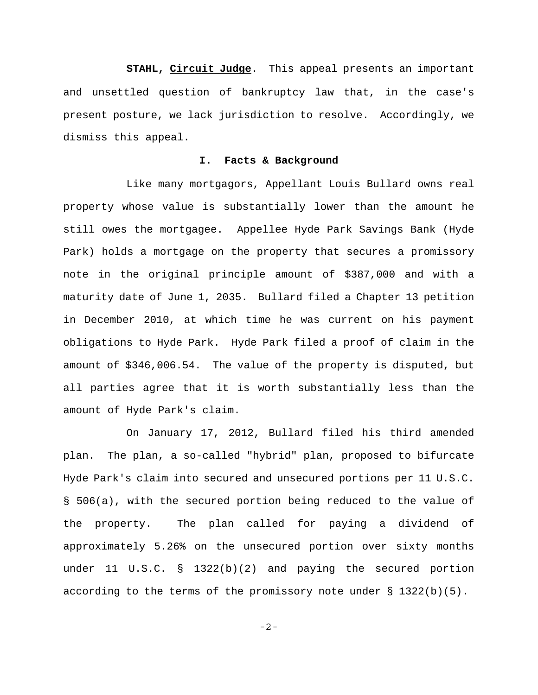**STAHL, Circuit Judge**. This appeal presents an important and unsettled question of bankruptcy law that, in the case's present posture, we lack jurisdiction to resolve. Accordingly, we dismiss this appeal.

## **I. Facts & Background**

Like many mortgagors, Appellant Louis Bullard owns real property whose value is substantially lower than the amount he still owes the mortgagee. Appellee Hyde Park Savings Bank (Hyde Park) holds a mortgage on the property that secures a promissory note in the original principle amount of \$387,000 and with a maturity date of June 1, 2035. Bullard filed a Chapter 13 petition in December 2010, at which time he was current on his payment obligations to Hyde Park. Hyde Park filed a proof of claim in the amount of \$346,006.54. The value of the property is disputed, but all parties agree that it is worth substantially less than the amount of Hyde Park's claim.

On January 17, 2012, Bullard filed his third amended plan. The plan, a so-called "hybrid" plan, proposed to bifurcate Hyde Park's claim into secured and unsecured portions per 11 U.S.C. § 506(a), with the secured portion being reduced to the value of the property. The plan called for paying a dividend of approximately 5.26% on the unsecured portion over sixty months under 11 U.S.C. § 1322(b)(2) and paying the secured portion according to the terms of the promissory note under  $\S$  1322(b)(5).

$$
-2\,-
$$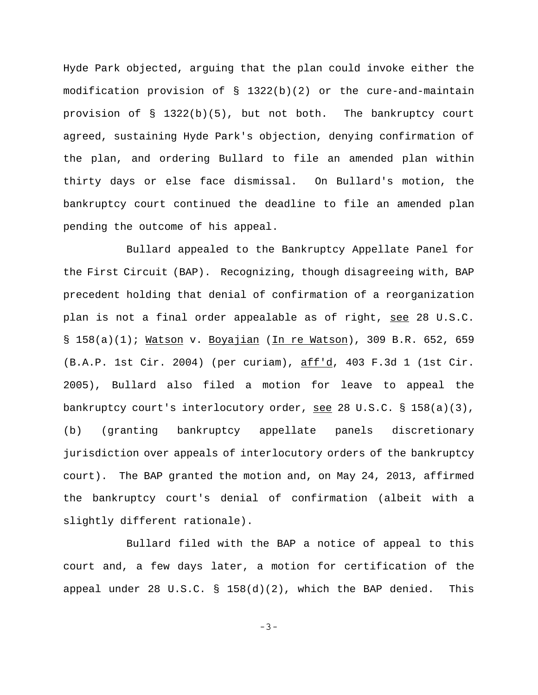Hyde Park objected, arguing that the plan could invoke either the modification provision of § 1322(b)(2) or the cure-and-maintain provision of  $\S$  1322(b)(5), but not both. The bankruptcy court agreed, sustaining Hyde Park's objection, denying confirmation of the plan, and ordering Bullard to file an amended plan within thirty days or else face dismissal. On Bullard's motion, the bankruptcy court continued the deadline to file an amended plan pending the outcome of his appeal.

Bullard appealed to the Bankruptcy Appellate Panel for the First Circuit (BAP). Recognizing, though disagreeing with, BAP precedent holding that denial of confirmation of a reorganization plan is not a final order appealable as of right, see 28 U.S.C. § 158(a)(1); Watson v. Boyajian (In re Watson), 309 B.R. 652, 659 (B.A.P. 1st Cir. 2004) (per curiam), aff'd, 403 F.3d 1 (1st Cir. 2005), Bullard also filed a motion for leave to appeal the bankruptcy court's interlocutory order, see 28 U.S.C.  $\S$  158(a)(3), (b) (granting bankruptcy appellate panels discretionary jurisdiction over appeals of interlocutory orders of the bankruptcy court). The BAP granted the motion and, on May 24, 2013, affirmed the bankruptcy court's denial of confirmation (albeit with a slightly different rationale).

Bullard filed with the BAP a notice of appeal to this court and, a few days later, a motion for certification of the appeal under 28 U.S.C. § 158(d)(2), which the BAP denied. This

-3-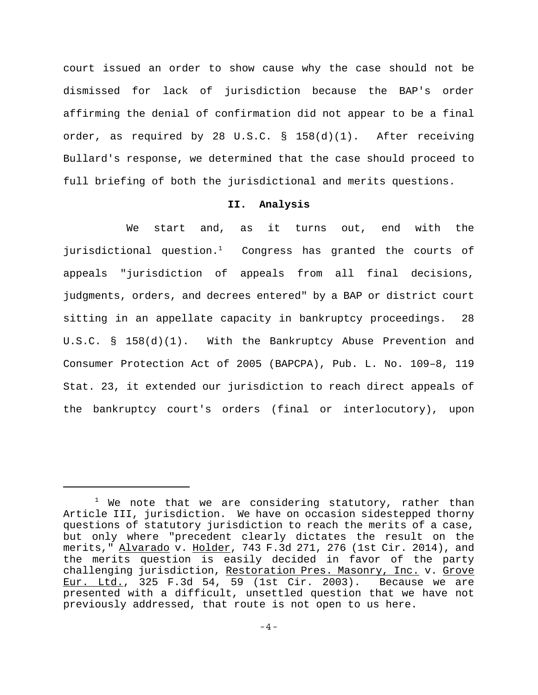court issued an order to show cause why the case should not be dismissed for lack of jurisdiction because the BAP's order affirming the denial of confirmation did not appear to be a final order, as required by 28 U.S.C.  $\S$  158(d)(1). After receiving Bullard's response, we determined that the case should proceed to full briefing of both the jurisdictional and merits questions.

## **II. Analysis**

We start and, as it turns out, end with the jurisdictional question.<sup>1</sup> Congress has granted the courts of appeals "jurisdiction of appeals from all final decisions, judgments, orders, and decrees entered" by a BAP or district court sitting in an appellate capacity in bankruptcy proceedings. 28 U.S.C. § 158(d)(1). With the Bankruptcy Abuse Prevention and Consumer Protection Act of 2005 (BAPCPA), Pub. L. No. 109–8, 119 Stat. 23, it extended our jurisdiction to reach direct appeals of the bankruptcy court's orders (final or interlocutory), upon

 $1$  We note that we are considering statutory, rather than Article III, jurisdiction. We have on occasion sidestepped thorny questions of statutory jurisdiction to reach the merits of a case, but only where "precedent clearly dictates the result on the merits," Alvarado v. Holder, 743 F.3d 271, 276 (1st Cir. 2014), and the merits question is easily decided in favor of the party challenging jurisdiction, Restoration Pres. Masonry, Inc. v. Grove Eur. Ltd., 325 F.3d 54, 59 (1st Cir. 2003). Because we are presented with a difficult, unsettled question that we have not previously addressed, that route is not open to us here.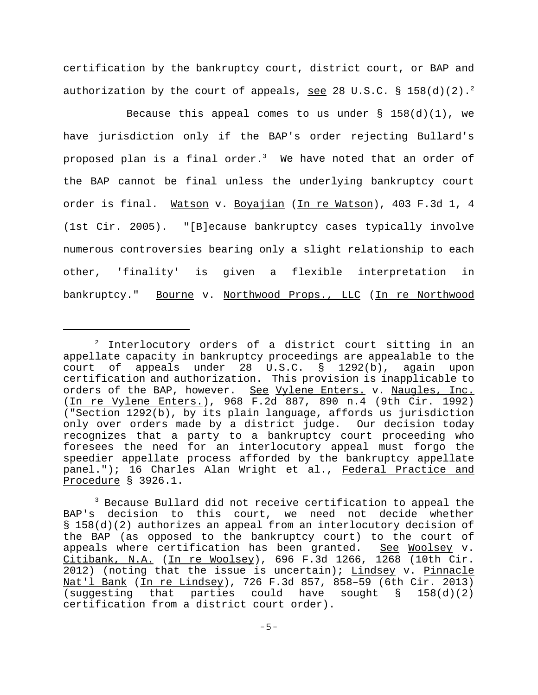certification by the bankruptcy court, district court, or BAP and authorization by the court of appeals, see 28 U.S.C. § 158(d)(2).<sup>2</sup>

Because this appeal comes to us under  $\S$  158(d)(1), we have jurisdiction only if the BAP's order rejecting Bullard's proposed plan is a final order. $^3$  We have noted that an order of the BAP cannot be final unless the underlying bankruptcy court order is final. Watson v. Boyajian (In re Watson), 403 F.3d 1, 4 (1st Cir. 2005). "[B]ecause bankruptcy cases typically involve numerous controversies bearing only a slight relationship to each other, 'finality' is given a flexible interpretation in bankruptcy." Bourne v. Northwood Props., LLC (In re Northwood

 $2$  Interlocutory orders of a district court sitting in an appellate capacity in bankruptcy proceedings are appealable to the court of appeals under 28 U.S.C. § 1292(b), again upon certification and authorization. This provision is inapplicable to orders of the BAP, however. See Vylene Enters. v. Naugles, Inc. (In re Vylene Enters.), 968 F.2d 887, 890 n.4 (9th Cir. 1992) ("Section 1292(b), by its plain language, affords us jurisdiction only over orders made by a district judge. Our decision today recognizes that a party to a bankruptcy court proceeding who foresees the need for an interlocutory appeal must forgo the speedier appellate process afforded by the bankruptcy appellate panel."); 16 Charles Alan Wright et al., Federal Practice and Procedure § 3926.1.

 $3$  Because Bullard did not receive certification to appeal the BAP's decision to this court, we need not decide whether § 158(d)(2) authorizes an appeal from an interlocutory decision of the BAP (as opposed to the bankruptcy court) to the court of appeals where certification has been granted. See Woolsey v. Citibank, N.A. (In re Woolsey), 696 F.3d 1266, 1268 (10th Cir. 2012) (noting that the issue is uncertain); Lindsey v. Pinnacle Nat'l Bank (In re Lindsey), 726 F.3d 857, 858-59 (6th Cir. 2013) (suggesting that parties could have sought  $\S$  158(d)(2) certification from a district court order).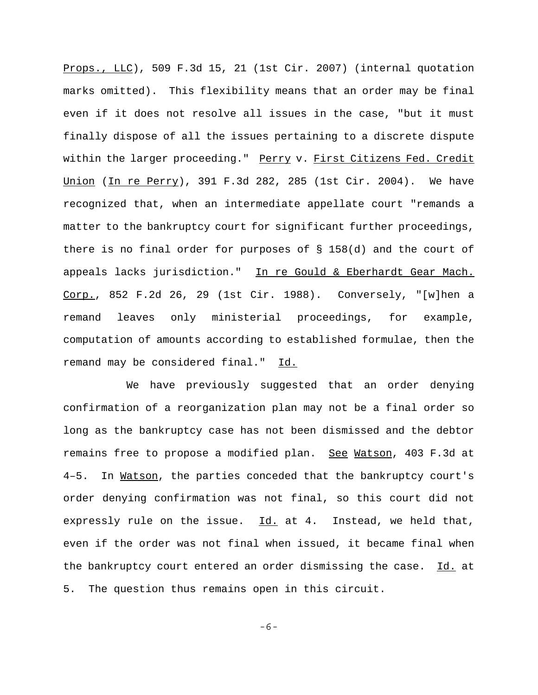Props., LLC), 509 F.3d 15, 21 (1st Cir. 2007) (internal quotation marks omitted). This flexibility means that an order may be final even if it does not resolve all issues in the case, "but it must finally dispose of all the issues pertaining to a discrete dispute within the larger proceeding." Perry v. First Citizens Fed. Credit Union (In re Perry), 391 F.3d 282, 285 (1st Cir. 2004). We have recognized that, when an intermediate appellate court "remands a matter to the bankruptcy court for significant further proceedings, there is no final order for purposes of § 158(d) and the court of appeals lacks jurisdiction." In re Gould & Eberhardt Gear Mach. Corp., 852 F.2d 26, 29 (1st Cir. 1988). Conversely, "[w]hen a remand leaves only ministerial proceedings, for example, computation of amounts according to established formulae, then the remand may be considered final." Id.

We have previously suggested that an order denying confirmation of a reorganization plan may not be a final order so long as the bankruptcy case has not been dismissed and the debtor remains free to propose a modified plan. See Watson, 403 F.3d at 4–5. In Watson, the parties conceded that the bankruptcy court's order denying confirmation was not final, so this court did not expressly rule on the issue.  $Id.$  at 4. Instead, we held that, even if the order was not final when issued, it became final when the bankruptcy court entered an order dismissing the case. Id. at 5. The question thus remains open in this circuit.

-6-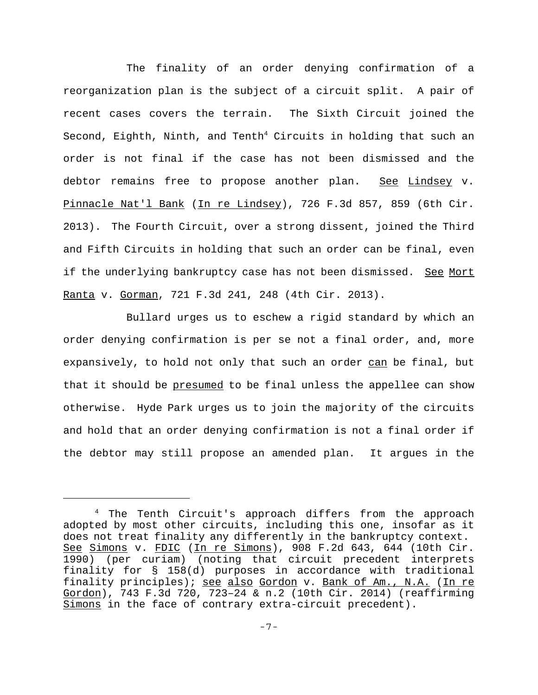The finality of an order denying confirmation of a reorganization plan is the subject of a circuit split. A pair of recent cases covers the terrain. The Sixth Circuit joined the Second, Eighth, Ninth, and Tenth $^4$  Circuits in holding that such an order is not final if the case has not been dismissed and the debtor remains free to propose another plan. See Lindsey v. Pinnacle Nat'l Bank (In re Lindsey), 726 F.3d 857, 859 (6th Cir. 2013). The Fourth Circuit, over a strong dissent, joined the Third and Fifth Circuits in holding that such an order can be final, even if the underlying bankruptcy case has not been dismissed. See Mort Ranta v. Gorman, 721 F.3d 241, 248 (4th Cir. 2013).

Bullard urges us to eschew a rigid standard by which an order denying confirmation is per se not a final order, and, more expansively, to hold not only that such an order can be final, but that it should be presumed to be final unless the appellee can show otherwise. Hyde Park urges us to join the majority of the circuits and hold that an order denying confirmation is not a final order if the debtor may still propose an amended plan. It argues in the

<sup>4</sup> The Tenth Circuit's approach differs from the approach adopted by most other circuits, including this one, insofar as it does not treat finality any differently in the bankruptcy context. See Simons v. FDIC (In re Simons), 908 F.2d 643, 644 (10th Cir. 1990) (per curiam) (noting that circuit precedent interprets finality for § 158(d) purposes in accordance with traditional finality principles); see also Gordon v. Bank of Am., N.A. (In re Gordon), 743 F.3d 720, 723–24 & n.2 (10th Cir. 2014) (reaffirming Simons in the face of contrary extra-circuit precedent).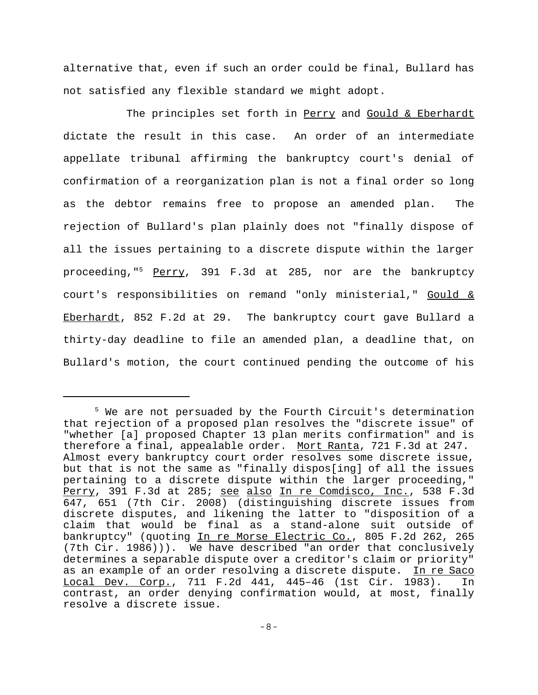alternative that, even if such an order could be final, Bullard has not satisfied any flexible standard we might adopt.

The principles set forth in Perry and Gould & Eberhardt dictate the result in this case. An order of an intermediate appellate tribunal affirming the bankruptcy court's denial of confirmation of a reorganization plan is not a final order so long as the debtor remains free to propose an amended plan. The rejection of Bullard's plan plainly does not "finally dispose of all the issues pertaining to a discrete dispute within the larger proceeding,"5 Perry, 391 F.3d at 285, nor are the bankruptcy court's responsibilities on remand "only ministerial," Gould & Eberhardt, 852 F.2d at 29. The bankruptcy court gave Bullard a thirty-day deadline to file an amended plan, a deadline that, on Bullard's motion, the court continued pending the outcome of his

<sup>&</sup>lt;sup>5</sup> We are not persuaded by the Fourth Circuit's determination that rejection of a proposed plan resolves the "discrete issue" of "whether [a] proposed Chapter 13 plan merits confirmation" and is therefore a final, appealable order. Mort Ranta, 721 F.3d at 247. Almost every bankruptcy court order resolves some discrete issue, but that is not the same as "finally dispos[ing] of all the issues pertaining to a discrete dispute within the larger proceeding," Perry, 391 F.3d at 285; see also In re Comdisco, Inc., 538 F.3d 647, 651 (7th Cir. 2008) (distinguishing discrete issues from discrete disputes, and likening the latter to "disposition of a claim that would be final as a stand-alone suit outside of bankruptcy" (quoting In re Morse Electric Co., 805 F.2d 262, 265 (7th Cir. 1986))). We have described "an order that conclusively determines a separable dispute over a creditor's claim or priority" as an example of an order resolving a discrete dispute. In re Saco Local Dev. Corp., 711 F.2d 441, 445–46 (1st Cir. 1983). In contrast, an order denying confirmation would, at most, finally resolve a discrete issue.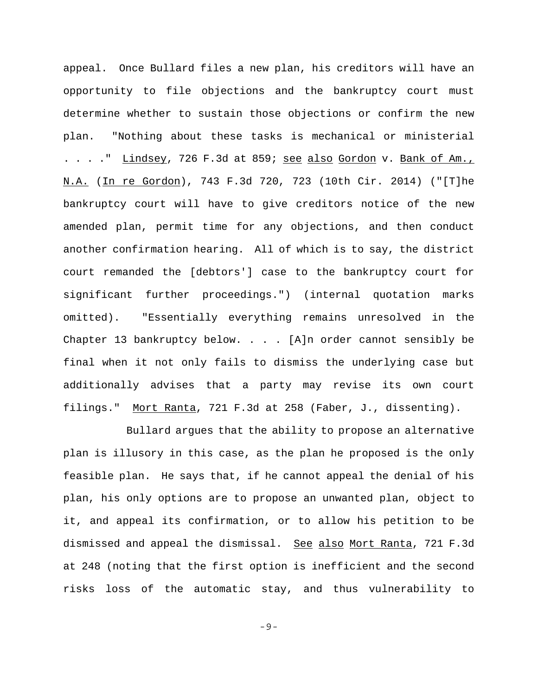appeal. Once Bullard files a new plan, his creditors will have an opportunity to file objections and the bankruptcy court must determine whether to sustain those objections or confirm the new plan. "Nothing about these tasks is mechanical or ministerial . . . . " Lindsey, 726 F.3d at 859; see also Gordon v. Bank of Am., N.A. (In re Gordon), 743 F.3d 720, 723 (10th Cir. 2014) ("[T]he bankruptcy court will have to give creditors notice of the new amended plan, permit time for any objections, and then conduct another confirmation hearing. All of which is to say, the district court remanded the [debtors'] case to the bankruptcy court for significant further proceedings.") (internal quotation marks omitted). "Essentially everything remains unresolved in the Chapter 13 bankruptcy below. . . . [A]n order cannot sensibly be final when it not only fails to dismiss the underlying case but additionally advises that a party may revise its own court filings." Mort Ranta, 721 F.3d at 258 (Faber, J., dissenting).

Bullard argues that the ability to propose an alternative plan is illusory in this case, as the plan he proposed is the only feasible plan. He says that, if he cannot appeal the denial of his plan, his only options are to propose an unwanted plan, object to it, and appeal its confirmation, or to allow his petition to be dismissed and appeal the dismissal. See also Mort Ranta, 721 F.3d at 248 (noting that the first option is inefficient and the second risks loss of the automatic stay, and thus vulnerability to

-9-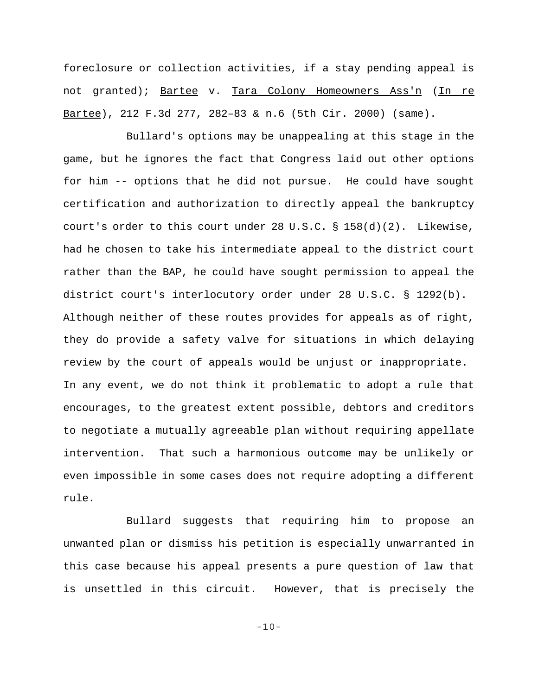foreclosure or collection activities, if a stay pending appeal is not granted); Bartee v. Tara Colony Homeowners Ass'n (In re Bartee), 212 F.3d 277, 282–83 & n.6 (5th Cir. 2000) (same).

Bullard's options may be unappealing at this stage in the game, but he ignores the fact that Congress laid out other options for him -- options that he did not pursue. He could have sought certification and authorization to directly appeal the bankruptcy court's order to this court under 28 U.S.C. § 158(d)(2). Likewise, had he chosen to take his intermediate appeal to the district court rather than the BAP, he could have sought permission to appeal the district court's interlocutory order under 28 U.S.C. § 1292(b). Although neither of these routes provides for appeals as of right, they do provide a safety valve for situations in which delaying review by the court of appeals would be unjust or inappropriate. In any event, we do not think it problematic to adopt a rule that encourages, to the greatest extent possible, debtors and creditors to negotiate a mutually agreeable plan without requiring appellate intervention. That such a harmonious outcome may be unlikely or even impossible in some cases does not require adopting a different rule.

Bullard suggests that requiring him to propose an unwanted plan or dismiss his petition is especially unwarranted in this case because his appeal presents a pure question of law that is unsettled in this circuit. However, that is precisely the

-10-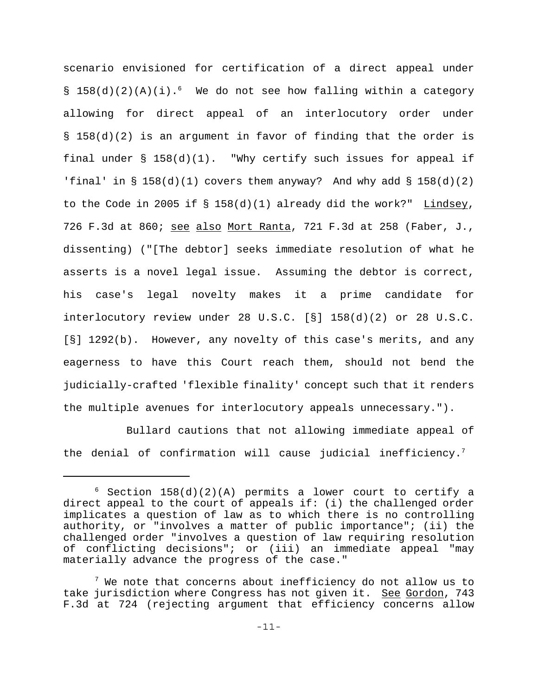scenario envisioned for certification of a direct appeal under § 158(d)(2)(A)(i).<sup>6</sup> We do not see how falling within a category allowing for direct appeal of an interlocutory order under § 158(d)(2) is an argument in favor of finding that the order is final under  $\S$  158(d)(1). "Why certify such issues for appeal if 'final' in  $\S$  158(d)(1) covers them anyway? And why add  $\S$  158(d)(2) to the Code in 2005 if § 158(d)(1) already did the work?" Lindsey, 726 F.3d at 860; see also Mort Ranta, 721 F.3d at 258 (Faber, J., dissenting) ("[The debtor] seeks immediate resolution of what he asserts is a novel legal issue. Assuming the debtor is correct, his case's legal novelty makes it a prime candidate for interlocutory review under 28 U.S.C. [§] 158(d)(2) or 28 U.S.C. [§] 1292(b). However, any novelty of this case's merits, and any eagerness to have this Court reach them, should not bend the judicially-crafted 'flexible finality' concept such that it renders the multiple avenues for interlocutory appeals unnecessary.").

Bullard cautions that not allowing immediate appeal of the denial of confirmation will cause judicial inefficiency.<sup>7</sup>

 $6$  Section 158(d)(2)(A) permits a lower court to certify a direct appeal to the court of appeals if: (i) the challenged order implicates a question of law as to which there is no controlling authority, or "involves a matter of public importance"; (ii) the challenged order "involves a question of law requiring resolution of conflicting decisions"; or (iii) an immediate appeal "may materially advance the progress of the case."

 $^7$  We note that concerns about inefficiency do not allow us to take jurisdiction where Congress has not given it. See Gordon, 743 F.3d at 724 (rejecting argument that efficiency concerns allow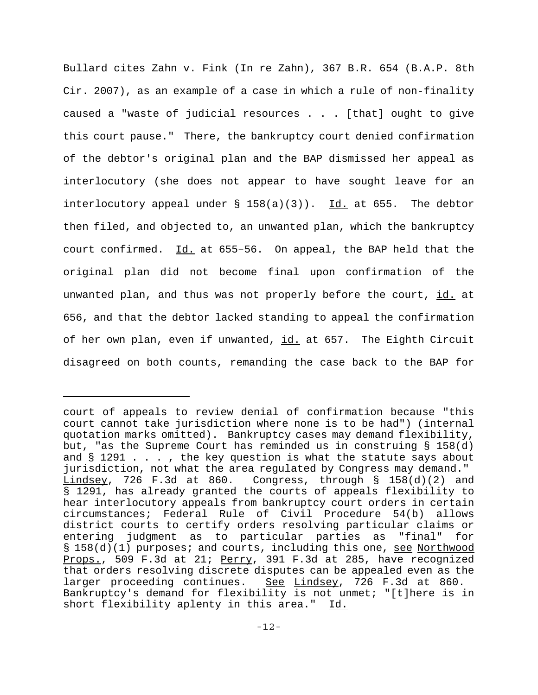Bullard cites Zahn v. Fink (In re Zahn), 367 B.R. 654 (B.A.P. 8th Cir. 2007), as an example of a case in which a rule of non-finality caused a "waste of judicial resources . . . [that] ought to give this court pause." There, the bankruptcy court denied confirmation of the debtor's original plan and the BAP dismissed her appeal as interlocutory (she does not appear to have sought leave for an interlocutory appeal under  $\S$  158(a)(3)). Id. at 655. The debtor then filed, and objected to, an unwanted plan, which the bankruptcy court confirmed. Id. at 655-56. On appeal, the BAP held that the original plan did not become final upon confirmation of the unwanted plan, and thus was not properly before the court, id. at 656, and that the debtor lacked standing to appeal the confirmation of her own plan, even if unwanted, id. at 657. The Eighth Circuit disagreed on both counts, remanding the case back to the BAP for

court of appeals to review denial of confirmation because "this court cannot take jurisdiction where none is to be had") (internal quotation marks omitted). Bankruptcy cases may demand flexibility, but, "as the Supreme Court has reminded us in construing § 158(d) and  $\S$  1291 . . . , the key question is what the statute says about jurisdiction, not what the area regulated by Congress may demand." Lindsey, 726 F.3d at 860. Congress, through § 158(d)(2) and § 1291, has already granted the courts of appeals flexibility to hear interlocutory appeals from bankruptcy court orders in certain circumstances; Federal Rule of Civil Procedure 54(b) allows district courts to certify orders resolving particular claims or entering judgment as to particular parties as "final" for § 158(d)(1) purposes; and courts, including this one, <u>see Northwood</u> Props., 509 F.3d at 21; Perry, 391 F.3d at 285, have recognized that orders resolving discrete disputes can be appealed even as the larger proceeding continues. See Lindsey, 726 F.3d at 860. Bankruptcy's demand for flexibility is not unmet; "[t]here is in short flexibility aplenty in this area." Id.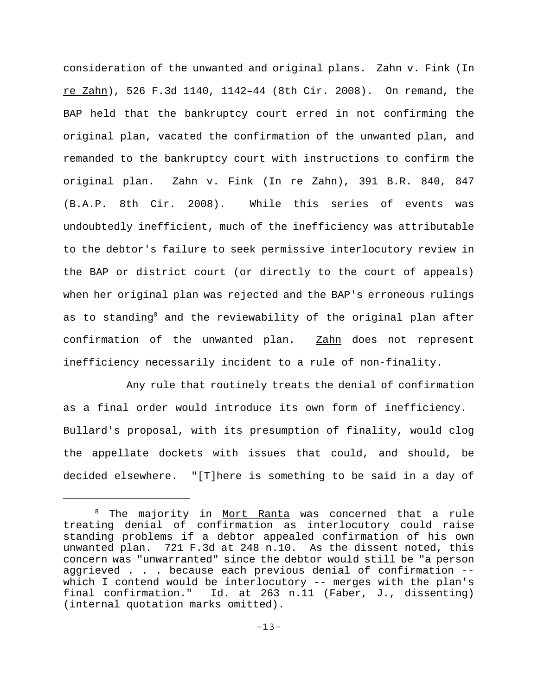consideration of the unwanted and original plans. Zahn v. Fink (In re Zahn), 526 F.3d 1140, 1142-44 (8th Cir. 2008). On remand, the BAP held that the bankruptcy court erred in not confirming the original plan, vacated the confirmation of the unwanted plan, and remanded to the bankruptcy court with instructions to confirm the original plan. Zahn v. Fink (In re Zahn), 391 B.R. 840, 847 (B.A.P. 8th Cir. 2008). While this series of events was undoubtedly inefficient, much of the inefficiency was attributable to the debtor's failure to seek permissive interlocutory review in the BAP or district court (or directly to the court of appeals) when her original plan was rejected and the BAP's erroneous rulings as to standing<sup>8</sup> and the reviewability of the original plan after confirmation of the unwanted plan. **Zahn** does not represent inefficiency necessarily incident to a rule of non-finality.

Any rule that routinely treats the denial of confirmation as a final order would introduce its own form of inefficiency. Bullard's proposal, with its presumption of finality, would clog the appellate dockets with issues that could, and should, be decided elsewhere. "[T]here is something to be said in a day of

 $^{\text{\tiny{8}}}$  The majority in <u>Mort Ranta</u> was concerned that a rule treating denial of confirmation as interlocutory could raise standing problems if a debtor appealed confirmation of his own unwanted plan. 721 F.3d at 248 n.10. As the dissent noted, this concern was "unwarranted" since the debtor would still be "a person aggrieved . . . because each previous denial of confirmation - which I contend would be interlocutory -- merges with the plan's final confirmation." Id. at 263 n.11 (Faber, J., dissenting) (internal quotation marks omitted).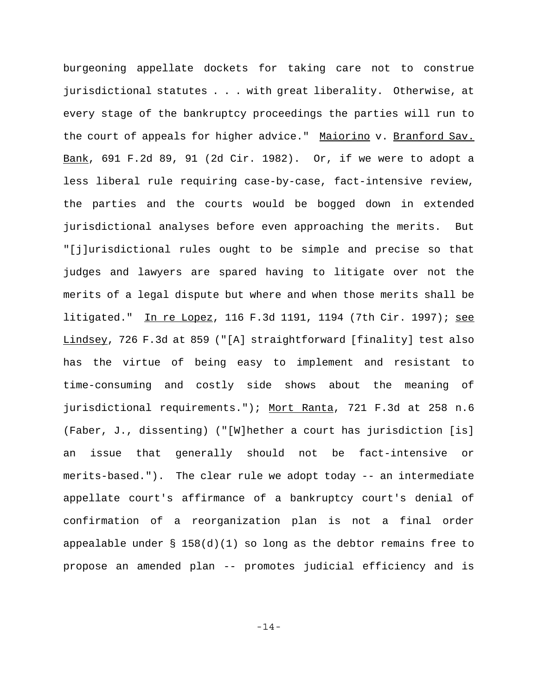burgeoning appellate dockets for taking care not to construe jurisdictional statutes . . . with great liberality. Otherwise, at every stage of the bankruptcy proceedings the parties will run to the court of appeals for higher advice." Maiorino v. Branford Sav. Bank, 691 F.2d 89, 91 (2d Cir. 1982). Or, if we were to adopt a less liberal rule requiring case-by-case, fact-intensive review, the parties and the courts would be bogged down in extended jurisdictional analyses before even approaching the merits. But "[j]urisdictional rules ought to be simple and precise so that judges and lawyers are spared having to litigate over not the merits of a legal dispute but where and when those merits shall be litigated." In re Lopez, 116 F.3d 1191, 1194 (7th Cir. 1997); see Lindsey, 726 F.3d at 859 ("[A] straightforward [finality] test also has the virtue of being easy to implement and resistant to time-consuming and costly side shows about the meaning of jurisdictional requirements."); Mort Ranta, 721 F.3d at 258 n.6 (Faber, J., dissenting) ("[W]hether a court has jurisdiction [is] an issue that generally should not be fact-intensive or merits-based."). The clear rule we adopt today -- an intermediate appellate court's affirmance of a bankruptcy court's denial of confirmation of a reorganization plan is not a final order appealable under  $\S$  158(d)(1) so long as the debtor remains free to propose an amended plan -- promotes judicial efficiency and is

-14-